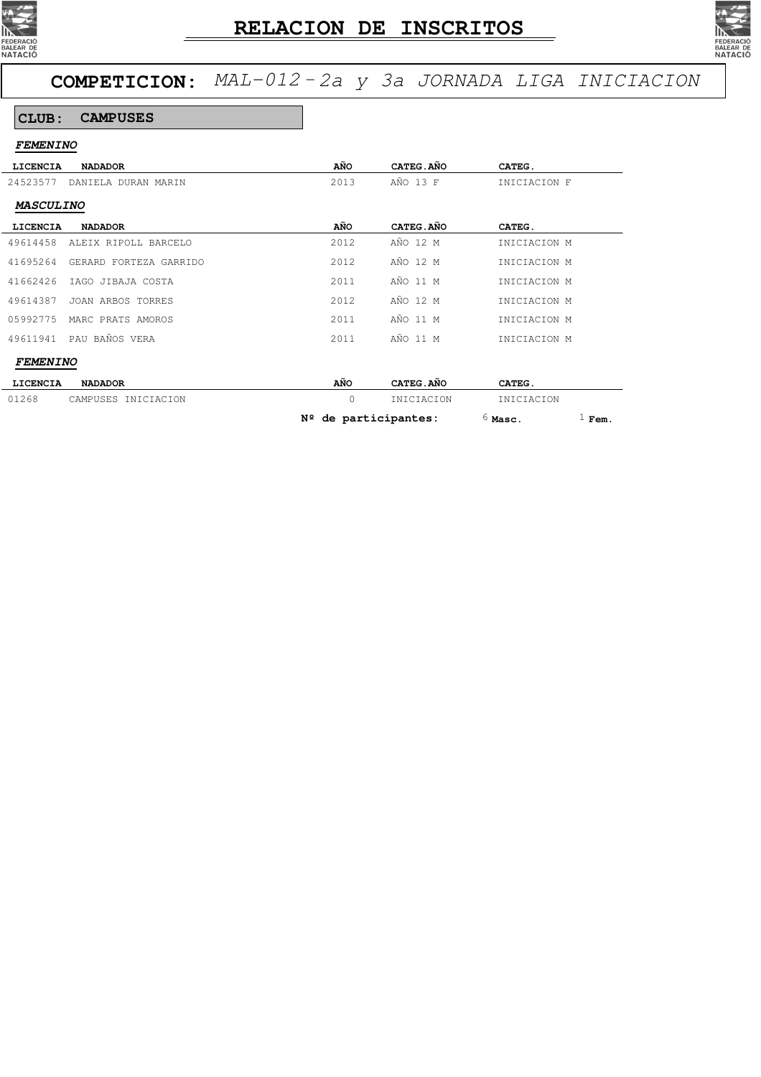



### **CLUB: CAMPUSES**

| <b>FEMENINO</b>  |                        |                        |            |                       |
|------------------|------------------------|------------------------|------------|-----------------------|
| LICENCIA         | <b>NADADOR</b>         | AÑO                    | CATEG.AÑO  | CATEG.                |
| 24523577         | DANIELA DURAN MARIN    | 2013                   | AÑO 13 F   | INICIACION F          |
| <b>MASCULINO</b> |                        |                        |            |                       |
| LICENCIA         | <b>NADADOR</b>         | AÑO                    | CATEG.AÑO  | CATEG.                |
| 49614458         | ALEIX RIPOLL BARCELO   | 2012                   | AÑO 12 M   | INICIACION M          |
| 41695264         | GERARD FORTEZA GARRIDO | 2012                   | AÑO 12 M   | INICIACION M          |
| 41662426         | IAGO JIBAJA COSTA      | 2011                   | AÑO 11 M   | INICIACION M          |
| 49614387         | JOAN ARBOS TORRES      | 2012                   | AÑO 12 M   | INICIACION M          |
| 05992775         | MARC PRATS AMOROS      | 2011                   | AÑO 11 M   | INICIACION M          |
| 49611941         | PAU BAÑOS VERA         | 2011                   | AÑO 11 M   | INICIACION M          |
| <b>FEMENINO</b>  |                        |                        |            |                       |
| LICENCIA         | <b>NADADOR</b>         | AÑO                    | CATEG.AÑO  | CATEG.                |
| 01268            | CAMPUSES INICIACION    | $\mathbf 0$            | INICIACION | INICIACION            |
|                  |                        | $N2$ de participantes: |            | $1$ Fem.<br>$6$ Masc. |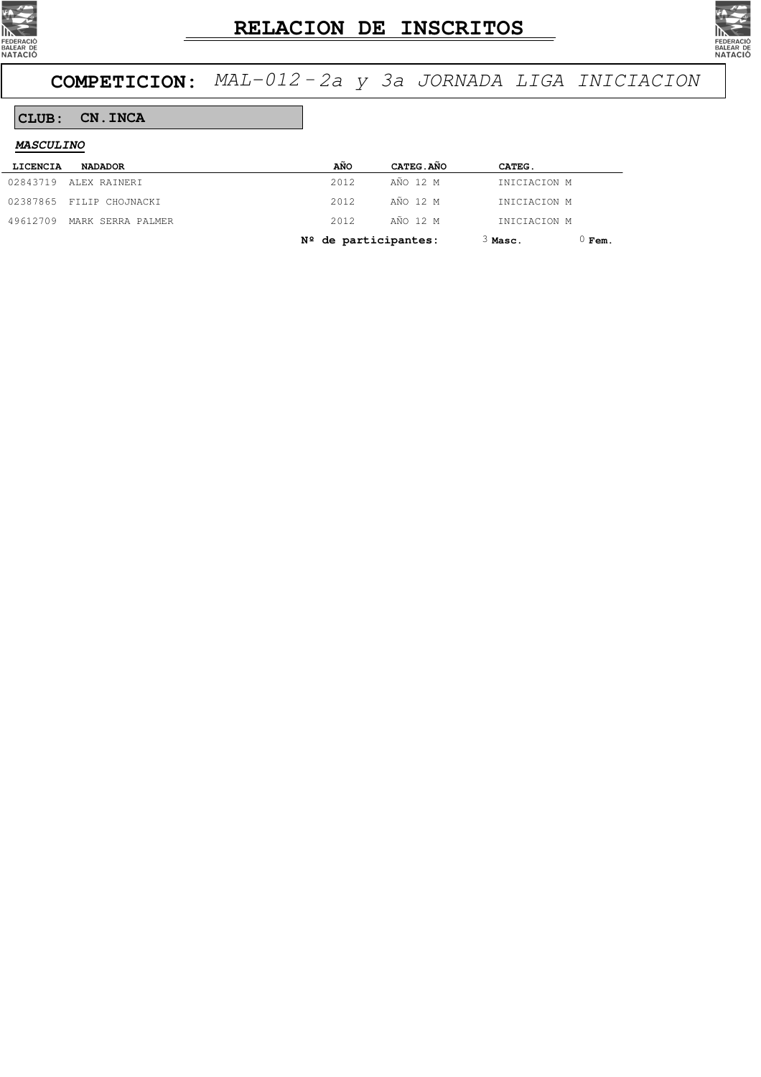



### **CLUB: CN.INCA**

| <i><b>MASCULINO</b></i> |                          |       |                        |              |          |
|-------------------------|--------------------------|-------|------------------------|--------------|----------|
| LICENCIA                | <b>NADADOR</b>           | AÑO   | CATEG.AÑO              | CATEG.       |          |
| 02843719                | ALEX RAINERI             | 2012  | AÑO 12 M               | INICIACION M |          |
|                         | 02387865 FILIP CHOJNACKI | 2012  | AÑO 12 M               | INICIACION M |          |
| 49612709                | MARK SERRA PALMER        | 2.012 | AÑO 12 M               | INICIACION M |          |
|                         |                          |       | $N2$ de participantes: | $3$ Masc.    | $0$ Fem. |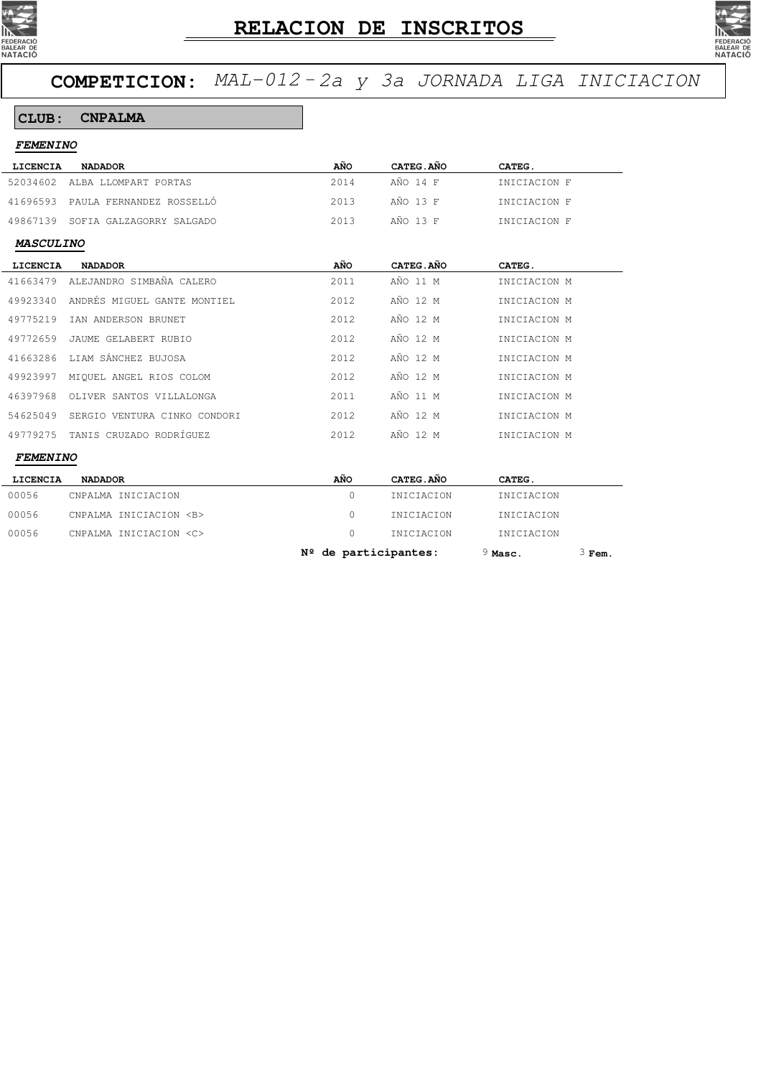



#### **CLUB: CNPALMA**

| AÑO<br>CATEG.AÑO<br><b>LICENCIA</b><br><b>NADADOR</b><br>CATEG.<br>AÑO 14 F<br>52034602<br>2014<br>ALBA LLOMPART PORTAS<br>INICIACION F<br>AÑO 13 F<br>2013<br>41696593<br>PAULA FERNANDEZ ROSSELLÓ<br>INICIACION F<br>AÑO 13 F<br>2013<br>49867139<br>SOFIA GALZAGORRY SALGADO<br>INICIACION F<br><b>MASCULINO</b><br>AÑO<br>CATEG.AÑO<br>CATEG.<br><b>LICENCIA</b><br><b>NADADOR</b><br>ALEJANDRO SIMBAÑA CALERO<br>AÑO 11 M<br>41663479<br>2011<br>INICIACION M<br>ANDRÉS MIGUEL GANTE MONTIEL<br>AÑO 12 M<br>49923340<br>2012<br>INICIACION M<br>AÑO 12 M<br>49775219<br>2012<br>IAN ANDERSON BRUNET<br>INICIACION M<br>AÑO 12 M<br>49772659<br>JAUME GELABERT RUBIO<br>2012<br>INICIACION M<br>LIAM SÁNCHEZ BUJOSA<br>AÑO 12 M<br>41663286<br>2012<br>INICIACION M<br>AÑO 12 M<br>49923997<br>MIQUEL ANGEL RIOS COLOM<br>2012<br>INICIACION M<br>AÑO 11 M<br>46397968<br>2011<br>OLIVER SANTOS VILLALONGA<br>INICIACION M<br>AÑO 12 M<br>54625049<br>SERGIO VENTURA CINKO CONDORI<br>2012<br>INICIACION M<br>TANIS CRUZADO RODRÍGUEZ<br>AÑO 12 M<br>49779275<br>2012<br>INICIACION M<br><b>FEMENINO</b><br>AÑO<br>CATEG. AÑO<br><b>LICENCIA</b><br><b>NADADOR</b><br>CATEG.<br>$\Omega$<br>00056<br>CNPALMA INICIACION<br>INICIACION<br>INICIACION<br>00056<br>CNPALMA INICIACION <b><br/>0<br/>INICIACION<br/>INICIACION</b> | <i><b>FEMENINO</b></i> |                            |          |            |            |  |  |
|------------------------------------------------------------------------------------------------------------------------------------------------------------------------------------------------------------------------------------------------------------------------------------------------------------------------------------------------------------------------------------------------------------------------------------------------------------------------------------------------------------------------------------------------------------------------------------------------------------------------------------------------------------------------------------------------------------------------------------------------------------------------------------------------------------------------------------------------------------------------------------------------------------------------------------------------------------------------------------------------------------------------------------------------------------------------------------------------------------------------------------------------------------------------------------------------------------------------------------------------------------------------------------------------------------------------------------|------------------------|----------------------------|----------|------------|------------|--|--|
|                                                                                                                                                                                                                                                                                                                                                                                                                                                                                                                                                                                                                                                                                                                                                                                                                                                                                                                                                                                                                                                                                                                                                                                                                                                                                                                                    |                        |                            |          |            |            |  |  |
|                                                                                                                                                                                                                                                                                                                                                                                                                                                                                                                                                                                                                                                                                                                                                                                                                                                                                                                                                                                                                                                                                                                                                                                                                                                                                                                                    |                        |                            |          |            |            |  |  |
|                                                                                                                                                                                                                                                                                                                                                                                                                                                                                                                                                                                                                                                                                                                                                                                                                                                                                                                                                                                                                                                                                                                                                                                                                                                                                                                                    |                        |                            |          |            |            |  |  |
|                                                                                                                                                                                                                                                                                                                                                                                                                                                                                                                                                                                                                                                                                                                                                                                                                                                                                                                                                                                                                                                                                                                                                                                                                                                                                                                                    |                        |                            |          |            |            |  |  |
|                                                                                                                                                                                                                                                                                                                                                                                                                                                                                                                                                                                                                                                                                                                                                                                                                                                                                                                                                                                                                                                                                                                                                                                                                                                                                                                                    |                        |                            |          |            |            |  |  |
|                                                                                                                                                                                                                                                                                                                                                                                                                                                                                                                                                                                                                                                                                                                                                                                                                                                                                                                                                                                                                                                                                                                                                                                                                                                                                                                                    |                        |                            |          |            |            |  |  |
|                                                                                                                                                                                                                                                                                                                                                                                                                                                                                                                                                                                                                                                                                                                                                                                                                                                                                                                                                                                                                                                                                                                                                                                                                                                                                                                                    |                        |                            |          |            |            |  |  |
|                                                                                                                                                                                                                                                                                                                                                                                                                                                                                                                                                                                                                                                                                                                                                                                                                                                                                                                                                                                                                                                                                                                                                                                                                                                                                                                                    |                        |                            |          |            |            |  |  |
|                                                                                                                                                                                                                                                                                                                                                                                                                                                                                                                                                                                                                                                                                                                                                                                                                                                                                                                                                                                                                                                                                                                                                                                                                                                                                                                                    |                        |                            |          |            |            |  |  |
|                                                                                                                                                                                                                                                                                                                                                                                                                                                                                                                                                                                                                                                                                                                                                                                                                                                                                                                                                                                                                                                                                                                                                                                                                                                                                                                                    |                        |                            |          |            |            |  |  |
|                                                                                                                                                                                                                                                                                                                                                                                                                                                                                                                                                                                                                                                                                                                                                                                                                                                                                                                                                                                                                                                                                                                                                                                                                                                                                                                                    |                        |                            |          |            |            |  |  |
|                                                                                                                                                                                                                                                                                                                                                                                                                                                                                                                                                                                                                                                                                                                                                                                                                                                                                                                                                                                                                                                                                                                                                                                                                                                                                                                                    |                        |                            |          |            |            |  |  |
|                                                                                                                                                                                                                                                                                                                                                                                                                                                                                                                                                                                                                                                                                                                                                                                                                                                                                                                                                                                                                                                                                                                                                                                                                                                                                                                                    |                        |                            |          |            |            |  |  |
|                                                                                                                                                                                                                                                                                                                                                                                                                                                                                                                                                                                                                                                                                                                                                                                                                                                                                                                                                                                                                                                                                                                                                                                                                                                                                                                                    |                        |                            |          |            |            |  |  |
|                                                                                                                                                                                                                                                                                                                                                                                                                                                                                                                                                                                                                                                                                                                                                                                                                                                                                                                                                                                                                                                                                                                                                                                                                                                                                                                                    |                        |                            |          |            |            |  |  |
|                                                                                                                                                                                                                                                                                                                                                                                                                                                                                                                                                                                                                                                                                                                                                                                                                                                                                                                                                                                                                                                                                                                                                                                                                                                                                                                                    |                        |                            |          |            |            |  |  |
|                                                                                                                                                                                                                                                                                                                                                                                                                                                                                                                                                                                                                                                                                                                                                                                                                                                                                                                                                                                                                                                                                                                                                                                                                                                                                                                                    |                        |                            |          |            |            |  |  |
|                                                                                                                                                                                                                                                                                                                                                                                                                                                                                                                                                                                                                                                                                                                                                                                                                                                                                                                                                                                                                                                                                                                                                                                                                                                                                                                                    |                        |                            |          |            |            |  |  |
|                                                                                                                                                                                                                                                                                                                                                                                                                                                                                                                                                                                                                                                                                                                                                                                                                                                                                                                                                                                                                                                                                                                                                                                                                                                                                                                                    |                        |                            |          |            |            |  |  |
|                                                                                                                                                                                                                                                                                                                                                                                                                                                                                                                                                                                                                                                                                                                                                                                                                                                                                                                                                                                                                                                                                                                                                                                                                                                                                                                                    | 00056                  | CNPALMA INICIACION <c></c> | $\Omega$ | INICIACION | INICIACION |  |  |

**Nº de participantes:** 9 **Masc.** 3 **Fem.**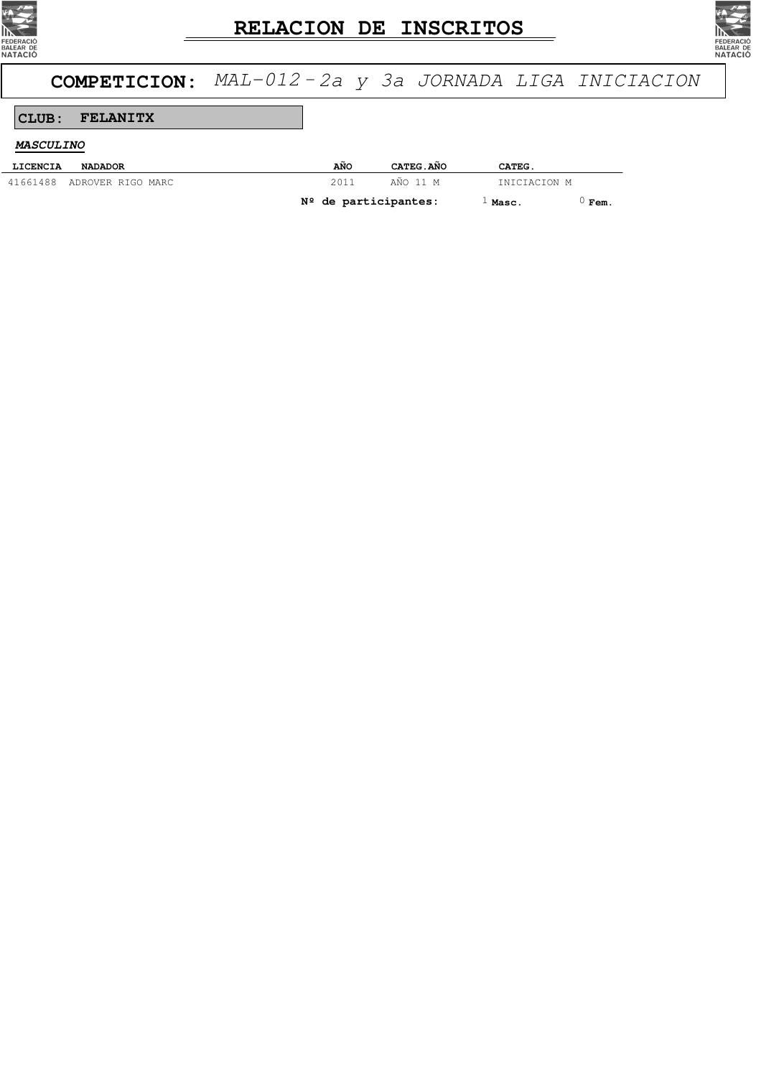



# **COMPETICION:** MAL-012 -2a y 3a JORNADA LIGA INICIACION

### **CLUB: FELANITX**

#### **MASCULINO**

| LICENCIA | <b>NADADOR</b>             | AÑO                    | CATEG. ANO | CATEG.       |      |
|----------|----------------------------|------------------------|------------|--------------|------|
|          | 41661488 ADROVER RIGO MARC | 2011                   | AÑO 11 M   | INICIACION M |      |
|          |                            | $N2$ de participantes: |            | $1$ Masc.    | Fem. |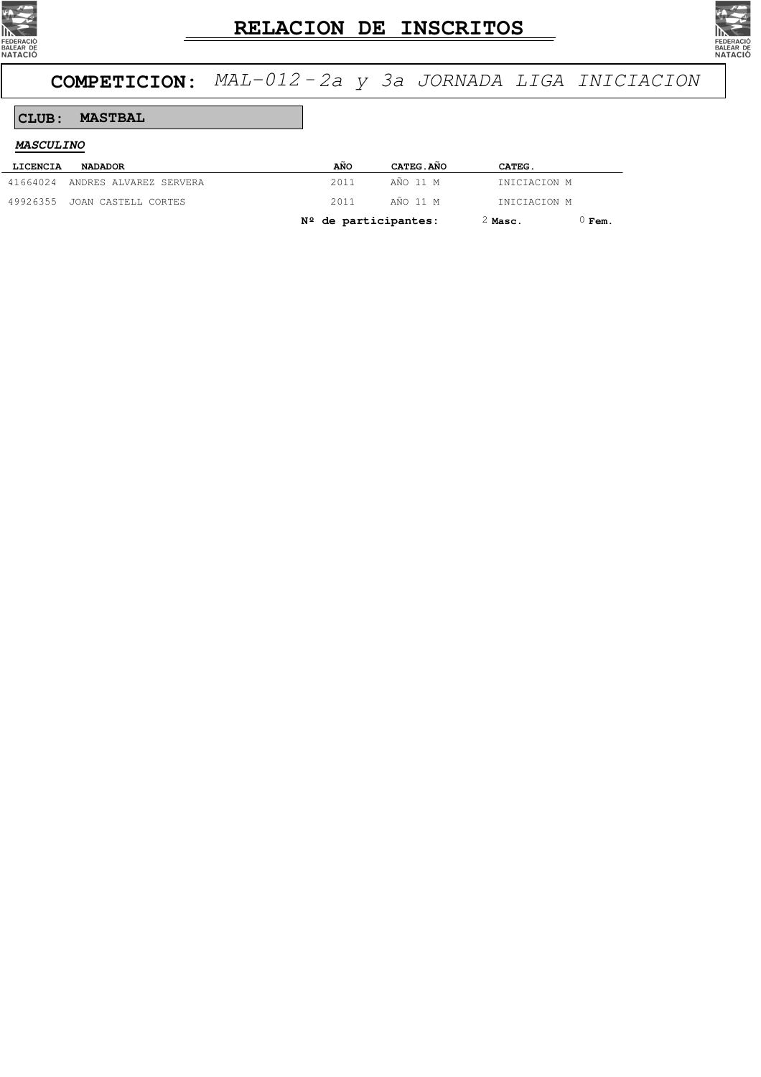



# **COMPETICION:** MAL-012 -2a y 3a JORNADA LIGA INICIACION

#### **CLUB: MASTBAL**

| <b>MASCULINO</b> |                                 |      |
|------------------|---------------------------------|------|
| LICENCIA         | <b>NADADOR</b>                  | AÑO  |
|                  | 41664024 ANDRES ALVAREZ SERVERA | 2011 |

| LICENCIA | <b>NADADOR</b>                  | AÑO                    | CATEG.AÑO | CATEG.       |                 |
|----------|---------------------------------|------------------------|-----------|--------------|-----------------|
|          | 41664024 ANDRES ALVAREZ SERVERA | 2011                   | AÑO 11 M  | INICIACION M |                 |
|          | 49926355 JOAN CASTELL CORTES    | 2011                   | AÑO 11 M  | INICIACION M |                 |
|          |                                 | $N2$ de participantes: |           | $2$ Masc.    | $^{\circ}$ Fem. |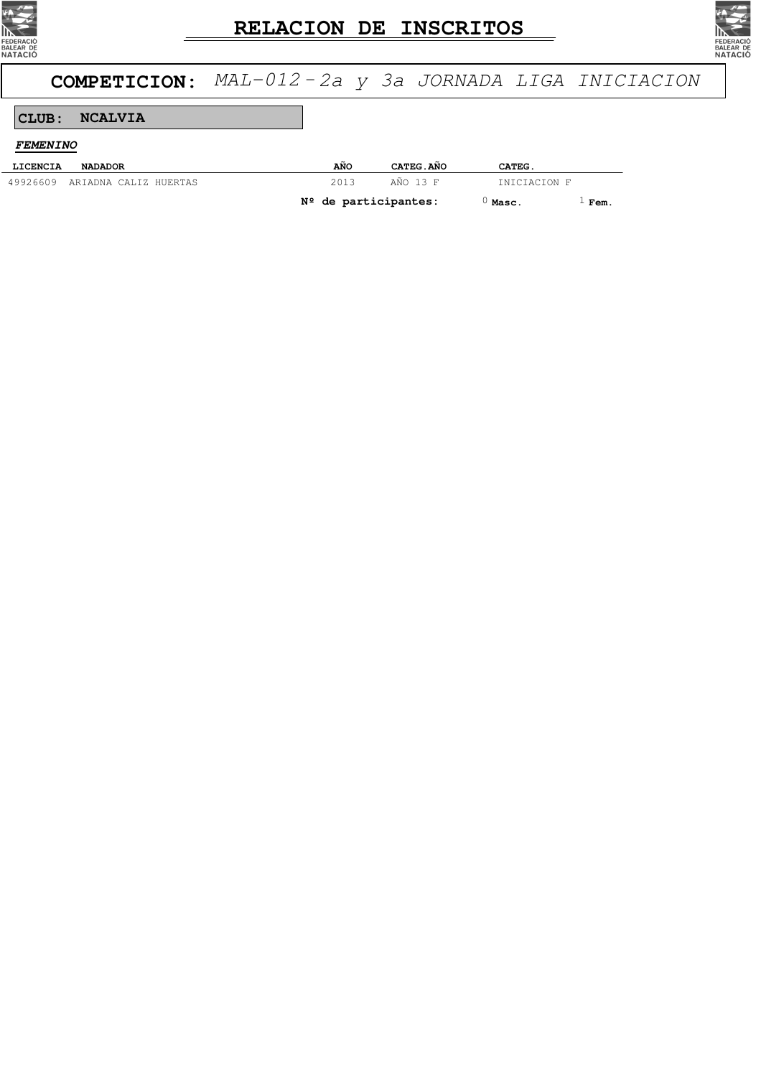



# **COMPETICION:** MAL-012 -2a y 3a JORNADA LIGA INICIACION

#### **CLUB: NCALVIA**

**FEMENINO**

| LICENCIA | <b>NADADOR</b>                 | AÑO                    | CATEG. ANO | CATEG.       |      |
|----------|--------------------------------|------------------------|------------|--------------|------|
|          | 49926609 ARIADNA CALIZ HUERTAS | 2013                   | AÑO 13 F   | INICIACION F |      |
|          |                                | $N2$ de participantes: |            | Masc.        | Fem. |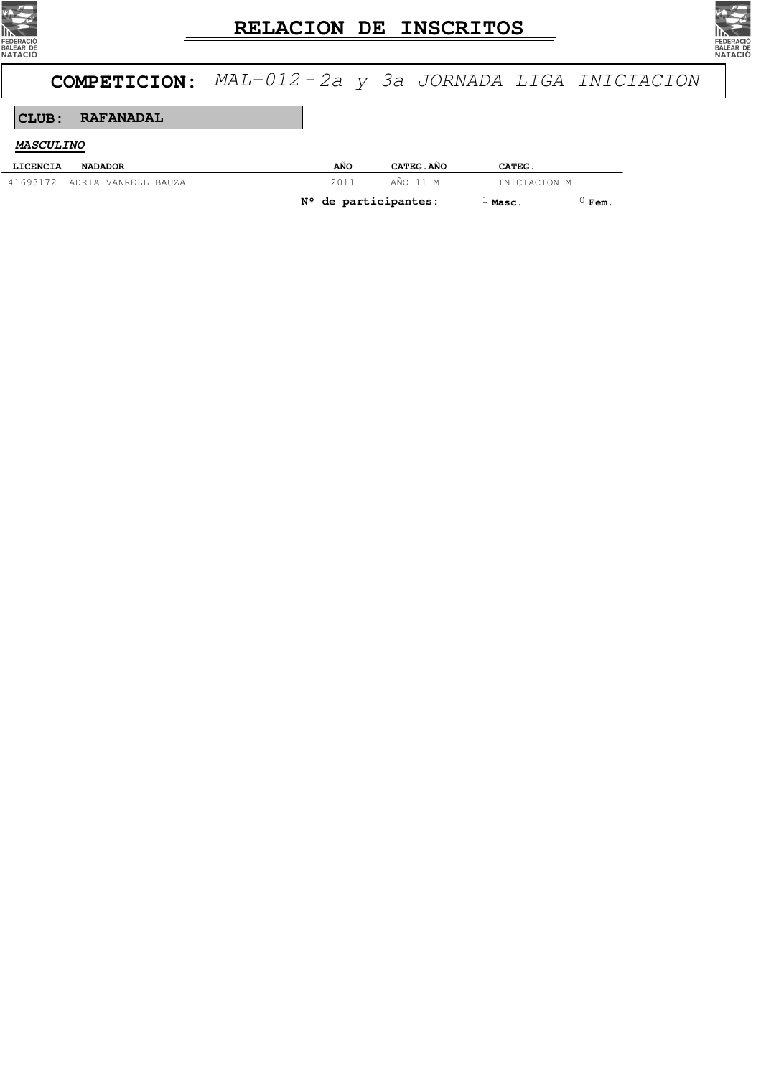



# **COMPETICION:** MAL-012 -2a y 3a JORNADA LIGA INICIACION

#### **CLUB: RAFANADAL**

#### **MASCULINO**

| LICENCIA | <b>NADADOR</b>               | AÑO                    | CATEG. ANO | CATEG.       |      |
|----------|------------------------------|------------------------|------------|--------------|------|
|          | 41693172 ADRIA VANRELL BAUZA | 2011                   | AÑO 11 M   | INICIACION M |      |
|          |                              | $N2$ de participantes: |            | l Masc.      | Fem. |